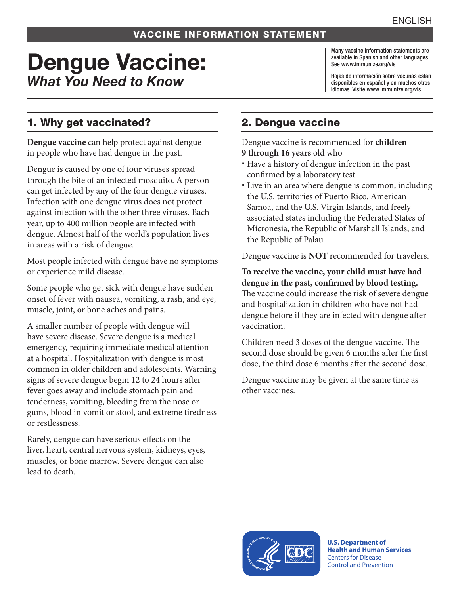#### VACCINE INFORMATION STATEMENT

# Dengue Vaccine: *What You Need to Know*

Many vaccine information statements are available in Spanish and other languages. See [www.immunize.org/vis](http://www.immunize.org/vis)

Hojas de información sobre vacunas están disponibles en español y en muchos otros idiomas. Visite [www.immunize.org/vis](http://www.immunize.org/vis)

# 1. Why get vaccinated?

**Dengue vaccine** can help protect against dengue in people who have had dengue in the past.

Dengue is caused by one of four viruses spread through the bite of an infected mosquito. A person can get infected by any of the four dengue viruses. Infection with one dengue virus does not protect against infection with the other three viruses. Each year, up to 400 million people are infected with dengue. Almost half of the world's population lives in areas with a risk of dengue.

Most people infected with dengue have no symptoms or experience mild disease.

Some people who get sick with dengue have sudden onset of fever with nausea, vomiting, a rash, and eye, muscle, joint, or bone aches and pains.

A smaller number of people with dengue will have severe disease. Severe dengue is a medical emergency, requiring immediate medical attention at a hospital. Hospitalization with dengue is most common in older children and adolescents. Warning signs of severe dengue begin 12 to 24 hours after fever goes away and include stomach pain and tenderness, vomiting, bleeding from the nose or gums, blood in vomit or stool, and extreme tiredness or restlessness.

Rarely, dengue can have serious effects on the liver, heart, central nervous system, kidneys, eyes, muscles, or bone marrow. Severe dengue can also lead to death.

# 2. Dengue vaccine

Dengue vaccine is recommended for **children 9 through 16 years** old who

- Have a history of dengue infection in the past confirmed by a laboratory test
- Live in an area where dengue is common, including the U.S. territories of Puerto Rico, American Samoa, and the U.S. Virgin Islands, and freely associated states including the Federated States of Micronesia, the Republic of Marshall Islands, and the Republic of Palau

Dengue vaccine is **NOT** recommended for travelers.

**To receive the vaccine, your child must have had dengue in the past, confirmed by blood testing.**  The vaccine could increase the risk of severe dengue and hospitalization in children who have not had dengue before if they are infected with dengue after vaccination.

Children need 3 doses of the dengue vaccine. The second dose should be given 6 months after the first dose, the third dose 6 months after the second dose.

Dengue vaccine may be given at the same time as other vaccines.



**U.S. Department of Health and Human Services**  Centers for Disease Control and Prevention